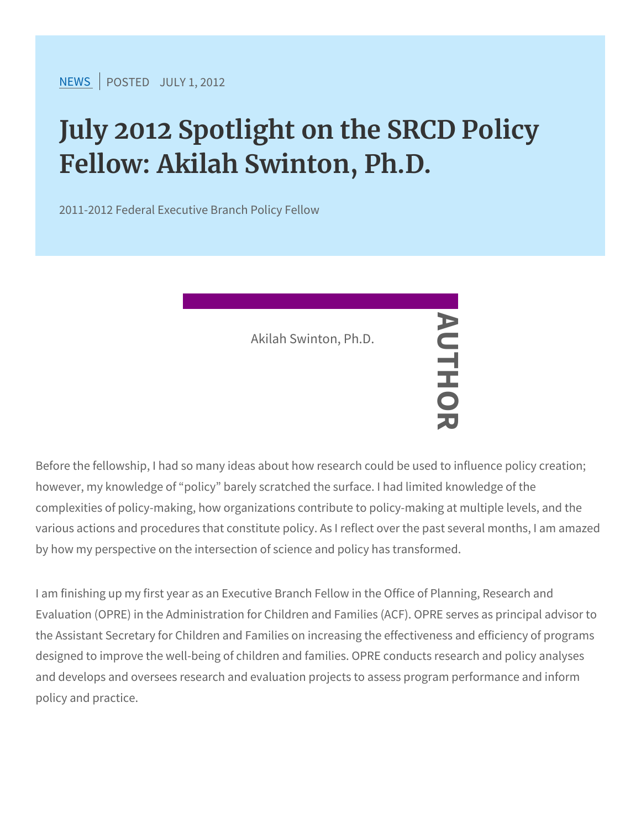$NEW$ SPOSTEJDULY 1, 2012

## July 2012 Spotlight on the SRCD Fellow: Akilah Swinton, Ph.D.

2011-2012 Federal Executive Branch Policy Fellow

Before the fellowship, I had so many ideas about how research could be used to influence policy could be used to influence policy could be used to influence policy could be used to influence policy could be used to influen however, my knowledge of policy barely scratched the surface. I had complexities of policy-making, how organizations contribute to poli various actions and procedures that constitute policy. As I reflect o by how my perspective on the intersection of science and policy ha Akilah Swinton, Ph.D. AUTHOR

I am finishing up my first year as an Executive Branch Fellow in the Evaluation (OPRE) in the Administration for Children and Families the Assistant Secretary for Children and Families on increasing the designed to improve the well-being of children and families. OPRE and develops and oversees research and evaluation projects to ass policy and practice.